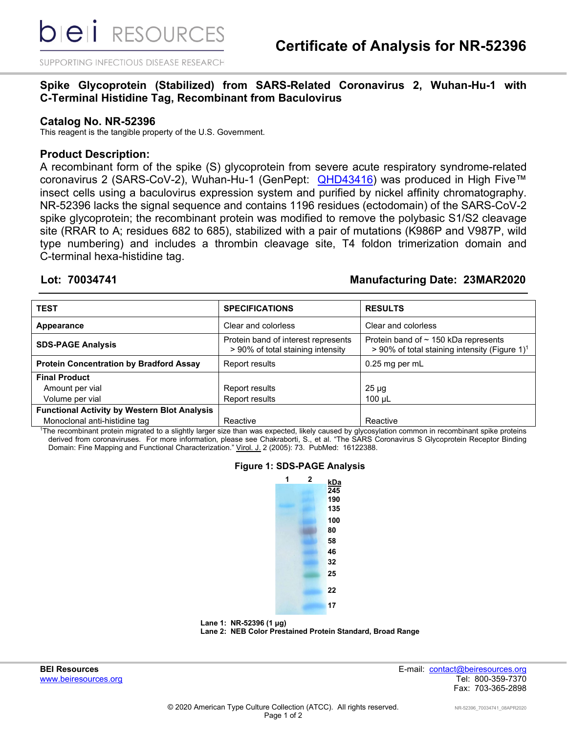**bieli** RESOURCES

SUPPORTING INFECTIOUS DISEASE RESEARCH

# **Spike Glycoprotein (Stabilized) from SARS-Related Coronavirus 2, Wuhan-Hu-1 with C-Terminal Histidine Tag, Recombinant from Baculovirus**

### **Catalog No. NR-52396**

This reagent is the tangible property of the U.S. Government.

## **Product Description:**

A recombinant form of the spike (S) glycoprotein from severe acute respiratory syndrome-related coronavirus 2 (SARS-CoV-2), Wuhan-Hu-1 (GenPept: [QHD43416\)](https://www.ncbi.nlm.nih.gov/protein/QHD43416) was produced in High Five™ insect cells using a baculovirus expression system and purified by nickel affinity chromatography. NR-52396 lacks the signal sequence and contains 1196 residues (ectodomain) of the SARS-CoV-2 spike glycoprotein; the recombinant protein was modified to remove the polybasic S1/S2 cleavage site (RRAR to A; residues 682 to 685), stabilized with a pair of mutations (K986P and V987P, wild type numbering) and includes a thrombin cleavage site, T4 foldon trimerization domain and C-terminal hexa-histidine tag.

# **Lot: 70034741 Manufacturing Date: 23MAR2020**

| <b>TEST</b>                                         | <b>SPECIFICATIONS</b>                                                    | <b>RESULTS</b>                                                                                         |
|-----------------------------------------------------|--------------------------------------------------------------------------|--------------------------------------------------------------------------------------------------------|
| Appearance                                          | Clear and colorless                                                      | Clear and colorless                                                                                    |
| <b>SDS-PAGE Analysis</b>                            | Protein band of interest represents<br>> 90% of total staining intensity | Protein band of $\sim$ 150 kDa represents<br>> 90% of total staining intensity (Figure 1) <sup>1</sup> |
| <b>Protein Concentration by Bradford Assay</b>      | Report results                                                           | 0.25 mg per mL                                                                                         |
| <b>Final Product</b>                                |                                                                          |                                                                                                        |
| Amount per vial                                     | Report results                                                           | $25 \mu g$                                                                                             |
| Volume per vial                                     | Report results                                                           | $100 \mu L$                                                                                            |
| <b>Functional Activity by Western Blot Analysis</b> |                                                                          |                                                                                                        |
| Monoclonal anti-histidine tag                       | Reactive                                                                 | Reactive                                                                                               |

1 The recombinant protein migrated to a slightly larger size than was expected, likely caused by glycosylation common in recombinant spike proteins derived from coronaviruses. For more information, please see Chakraborti, S., et al. "The SARS Coronavirus S Glycoprotein Receptor Binding Domain: Fine Mapping and Functional Characterization." Virol. J. 2 (2005): 73. PubMed: 16122388.

### **Figure 1: SDS-PAGE Analysis**





**BEI Resources** E-mail: contact@beiresources.org www.beiresources.org and the state of the state of the state of the state of the state of the state of the state of the state of the state of the state of the state of the state of the state of the state of the state of th Fax: 703-365-2898